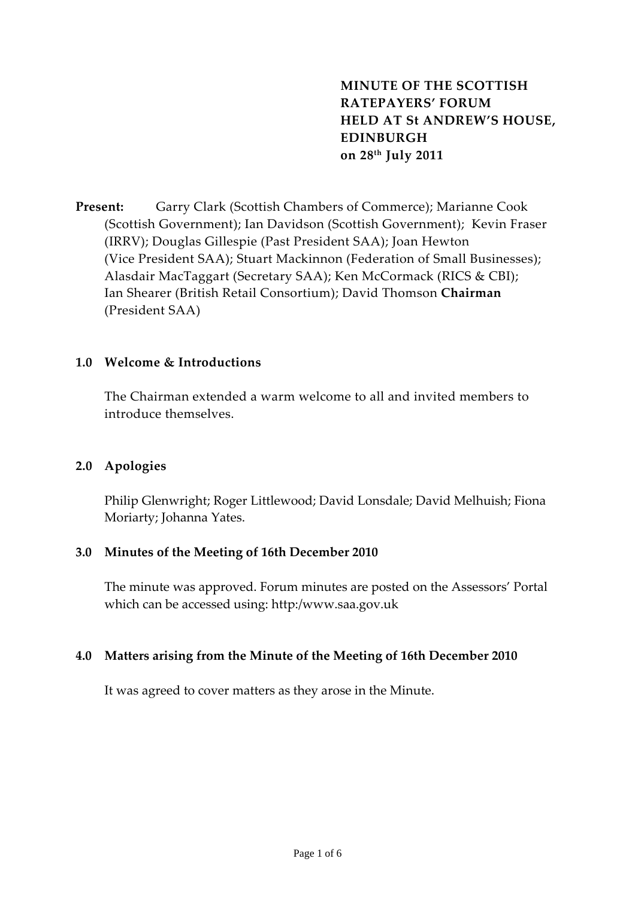Present: Garry Clark (Scottish Chambers of Commerce); Marianne Cook (Scottish Government); Ian Davidson (Scottish Government); Kevin Fraser (IRRV); Douglas Gillespie (Past President SAA); Joan Hewton (Vice President SAA); Stuart Mackinnon (Federation of Small Businesses); Alasdair MacTaggart (Secretary SAA); Ken McCormack (RICS & CBI); Ian Shearer (British Retail Consortium); David Thomson **Chairman** (President SAA)

## **1.0 Welcome & Introductions**

The Chairman extended a warm welcome to all and invited members to introduce themselves.

## **2.0 Apologies**

Philip Glenwright; Roger Littlewood; David Lonsdale; David Melhuish; Fiona Moriarty; Johanna Yates.

## **3.0 Minutes of the Meeting of 16th December 2010**

The minute was approved. Forum minutes are posted on the Assessors' Portal which can be accessed using: http:/www.saa.gov.uk

## **4.0 Matters arising from the Minute of the Meeting of 16th December 2010**

It was agreed to cover matters as they arose in the Minute.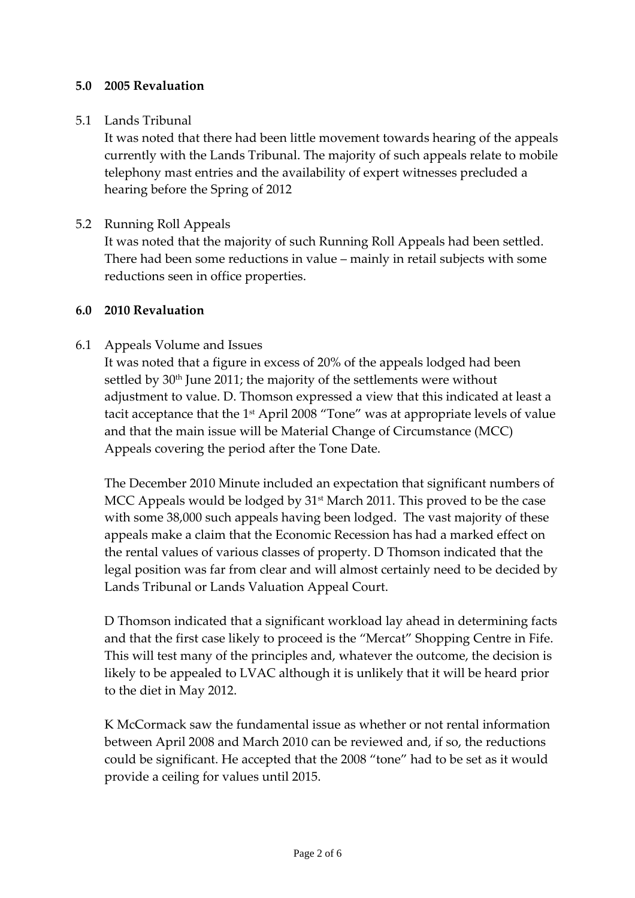### **5.0 2005 Revaluation**

### 5.1 Lands Tribunal

It was noted that there had been little movement towards hearing of the appeals currently with the Lands Tribunal. The majority of such appeals relate to mobile telephony mast entries and the availability of expert witnesses precluded a hearing before the Spring of 2012

### 5.2 Running Roll Appeals

It was noted that the majority of such Running Roll Appeals had been settled. There had been some reductions in value – mainly in retail subjects with some reductions seen in office properties.

#### **6.0 2010 Revaluation**

### 6.1 Appeals Volume and Issues

It was noted that a figure in excess of 20% of the appeals lodged had been settled by 30<sup>th</sup> June 2011; the majority of the settlements were without adjustment to value. D. Thomson expressed a view that this indicated at least a tacit acceptance that the 1st April 2008 "Tone" was at appropriate levels of value and that the main issue will be Material Change of Circumstance (MCC) Appeals covering the period after the Tone Date.

The December 2010 Minute included an expectation that significant numbers of MCC Appeals would be lodged by  $31<sup>st</sup>$  March 2011. This proved to be the case with some 38,000 such appeals having been lodged. The vast majority of these appeals make a claim that the Economic Recession has had a marked effect on the rental values of various classes of property. D Thomson indicated that the legal position was far from clear and will almost certainly need to be decided by Lands Tribunal or Lands Valuation Appeal Court.

D Thomson indicated that a significant workload lay ahead in determining facts and that the first case likely to proceed is the "Mercat" Shopping Centre in Fife. This will test many of the principles and, whatever the outcome, the decision is likely to be appealed to LVAC although it is unlikely that it will be heard prior to the diet in May 2012.

K McCormack saw the fundamental issue as whether or not rental information between April 2008 and March 2010 can be reviewed and, if so, the reductions could be significant. He accepted that the 2008 "tone" had to be set as it would provide a ceiling for values until 2015.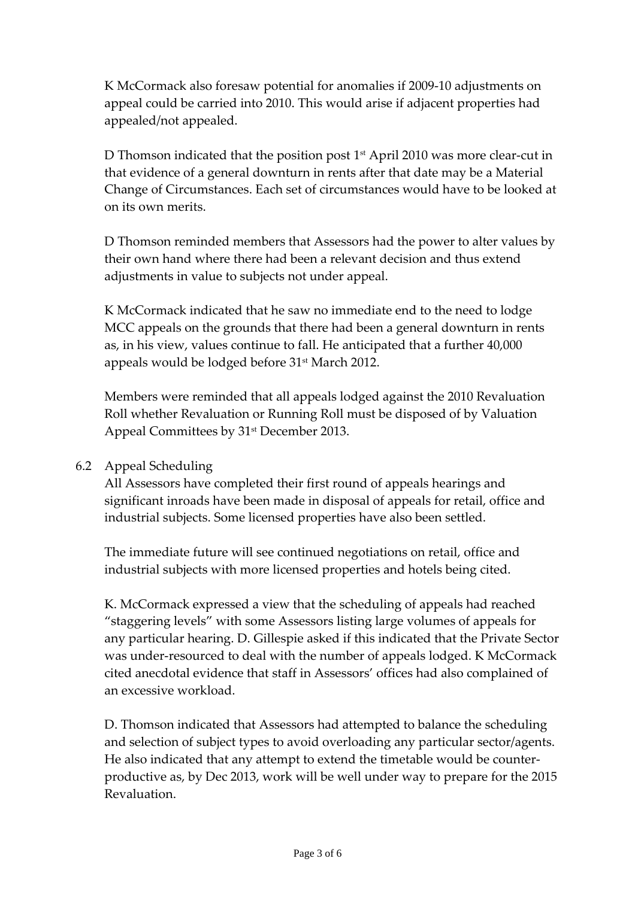K McCormack also foresaw potential for anomalies if 2009‐10 adjustments on appeal could be carried into 2010. This would arise if adjacent properties had appealed/not appealed.

D Thomson indicated that the position post  $1<sup>st</sup>$  April 2010 was more clear-cut in that evidence of a general downturn in rents after that date may be a Material Change of Circumstances. Each set of circumstances would have to be looked at on its own merits.

D Thomson reminded members that Assessors had the power to alter values by their own hand where there had been a relevant decision and thus extend adjustments in value to subjects not under appeal.

K McCormack indicated that he saw no immediate end to the need to lodge MCC appeals on the grounds that there had been a general downturn in rents as, in his view, values continue to fall. He anticipated that a further 40,000 appeals would be lodged before 31st March 2012.

Members were reminded that all appeals lodged against the 2010 Revaluation Roll whether Revaluation or Running Roll must be disposed of by Valuation Appeal Committees by 31<sup>st</sup> December 2013.

## 6.2 Appeal Scheduling

All Assessors have completed their first round of appeals hearings and significant inroads have been made in disposal of appeals for retail, office and industrial subjects. Some licensed properties have also been settled.

The immediate future will see continued negotiations on retail, office and industrial subjects with more licensed properties and hotels being cited.

K. McCormack expressed a view that the scheduling of appeals had reached "staggering levels" with some Assessors listing large volumes of appeals for any particular hearing. D. Gillespie asked if this indicated that the Private Sector was under-resourced to deal with the number of appeals lodged. K McCormack cited anecdotal evidence that staff in Assessors' offices had also complained of an excessive workload.

D. Thomson indicated that Assessors had attempted to balance the scheduling and selection of subject types to avoid overloading any particular sector/agents. He also indicated that any attempt to extend the timetable would be counter‐ productive as, by Dec 2013, work will be well under way to prepare for the 2015 Revaluation.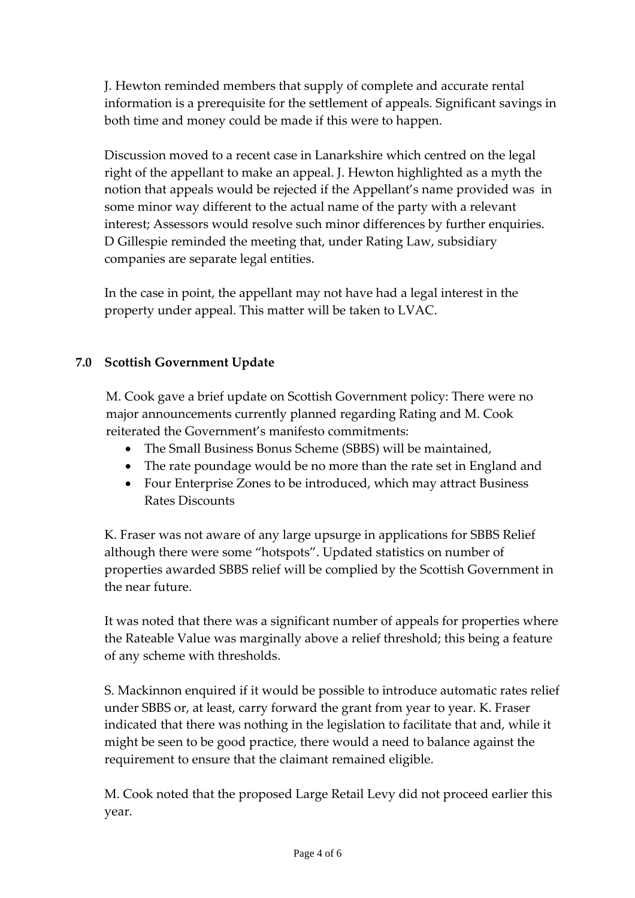J. Hewton reminded members that supply of complete and accurate rental information is a prerequisite for the settlement of appeals. Significant savings in both time and money could be made if this were to happen.

Discussion moved to a recent case in Lanarkshire which centred on the legal right of the appellant to make an appeal. J. Hewton highlighted as a myth the notion that appeals would be rejected if the Appellant's name provided was in some minor way different to the actual name of the party with a relevant interest; Assessors would resolve such minor differences by further enquiries. D Gillespie reminded the meeting that, under Rating Law, subsidiary companies are separate legal entities.

In the case in point, the appellant may not have had a legal interest in the property under appeal. This matter will be taken to LVAC.

# **7.0 Scottish Government Update**

M. Cook gave a brief update on Scottish Government policy: There were no major announcements currently planned regarding Rating and M. Cook reiterated the Government's manifesto commitments:

- The Small Business Bonus Scheme (SBBS) will be maintained,
- The rate poundage would be no more than the rate set in England and
- Four Enterprise Zones to be introduced, which may attract Business Rates Discounts

K. Fraser was not aware of any large upsurge in applications for SBBS Relief although there were some "hotspots". Updated statistics on number of properties awarded SBBS relief will be complied by the Scottish Government in the near future.

It was noted that there was a significant number of appeals for properties where the Rateable Value was marginally above a relief threshold; this being a feature of any scheme with thresholds.

S. Mackinnon enquired if it would be possible to introduce automatic rates relief under SBBS or, at least, carry forward the grant from year to year. K. Fraser indicated that there was nothing in the legislation to facilitate that and, while it might be seen to be good practice, there would a need to balance against the requirement to ensure that the claimant remained eligible.

M. Cook noted that the proposed Large Retail Levy did not proceed earlier this year.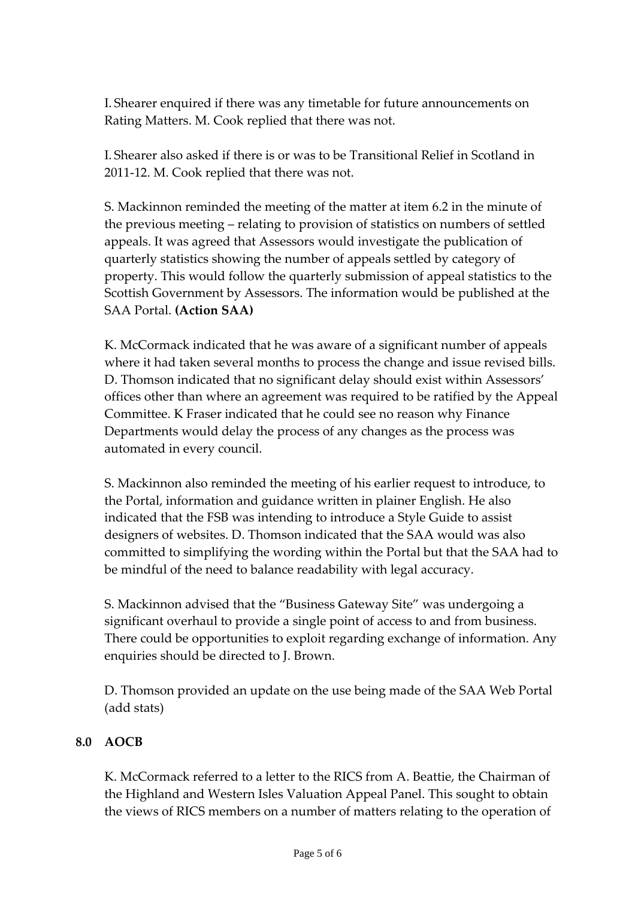I. Shearer enquired if there was any timetable for future announcements on Rating Matters. M. Cook replied that there was not.

I. Shearer also asked if there is or was to be Transitional Relief in Scotland in 2011-12. M. Cook replied that there was not.

S. Mackinnon reminded the meeting of the matter at item 6.2 in the minute of the previous meeting – relating to provision of statistics on numbers of settled appeals. It was agreed that Assessors would investigate the publication of quarterly statistics showing the number of appeals settled by category of property. This would follow the quarterly submission of appeal statistics to the Scottish Government by Assessors. The information would be published at the SAA Portal. **(Action SAA)**

K. McCormack indicated that he was aware of a significant number of appeals where it had taken several months to process the change and issue revised bills. D. Thomson indicated that no significant delay should exist within Assessors' offices other than where an agreement was required to be ratified by the Appeal Committee. K Fraser indicated that he could see no reason why Finance Departments would delay the process of any changes as the process was automated in every council.

S. Mackinnon also reminded the meeting of his earlier request to introduce, to the Portal, information and guidance written in plainer English. He also indicated that the FSB was intending to introduce a Style Guide to assist designers of websites. D. Thomson indicated that the SAA would was also committed to simplifying the wording within the Portal but that the SAA had to be mindful of the need to balance readability with legal accuracy.

S. Mackinnon advised that the "Business Gateway Site" was undergoing a significant overhaul to provide a single point of access to and from business. There could be opportunities to exploit regarding exchange of information. Any enquiries should be directed to J. Brown.

D. Thomson provided an update on the use being made of the SAA Web Portal (add stats)

## **8.0 AOCB**

K. McCormack referred to a letter to the RICS from A. Beattie, the Chairman of the Highland and Western Isles Valuation Appeal Panel. This sought to obtain the views of RICS members on a number of matters relating to the operation of